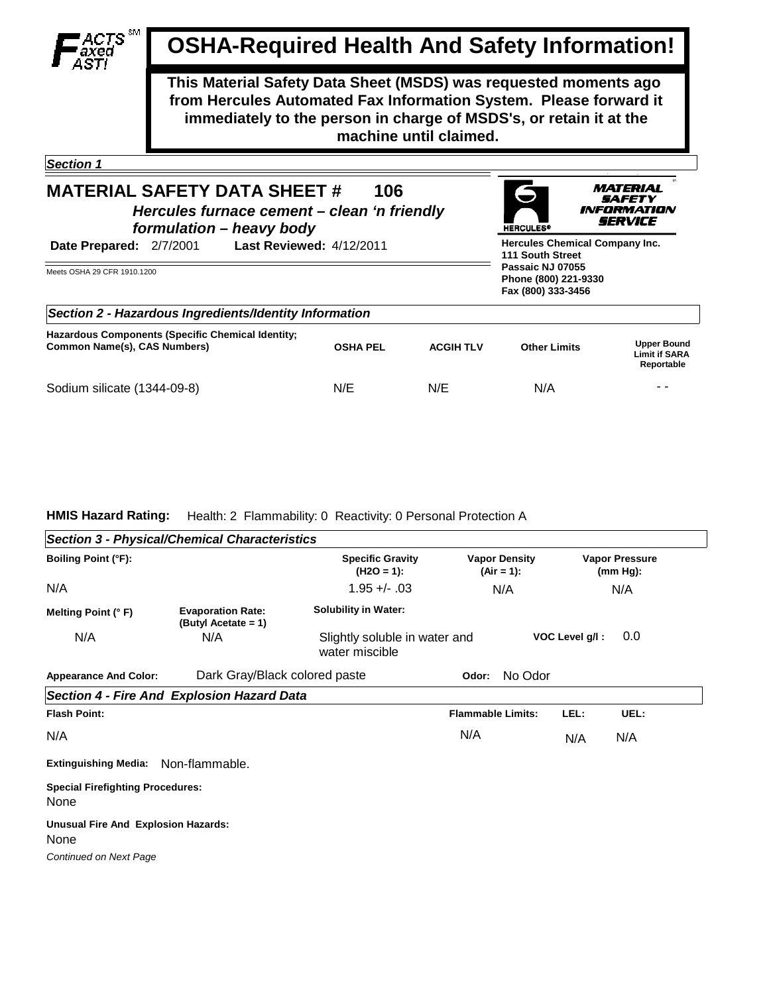

## **OSHA-Required Health And Safety Information!**

**This Material Safety Data Sheet (MSDS) was requested moments ago from Hercules Automated Fax Information System. Please forward it immediately to the person in charge of MSDS's, or retain it at the machine until claimed.**

> **MATERIAL SAFETY INFORMATION** SERVICE

**HERCULES<sup>4</sup>** 

*Section 1* 

## **MATERIAL SAFETY DATA SHEET #** *Hercules furnace cement – clean 'n friendly formulation – heavy body* **106**

| Date Prepared: 2/7/2001                                                           | <b>Last Reviewed: 4/12/2011</b> |                  |                                                                |                                                          |  |
|-----------------------------------------------------------------------------------|---------------------------------|------------------|----------------------------------------------------------------|----------------------------------------------------------|--|
| Meets OSHA 29 CFR 1910.1200                                                       |                                 |                  | Passaic NJ 07055<br>Phone (800) 221-9330<br>Fax (800) 333-3456 |                                                          |  |
| Section 2 - Hazardous Ingredients/Identity Information                            |                                 |                  |                                                                |                                                          |  |
| Hazardous Components (Specific Chemical Identity;<br>Common Name(s), CAS Numbers) | <b>OSHA PEL</b>                 | <b>ACGIH TLV</b> | <b>Other Limits</b>                                            | <b>Upper Bound</b><br><b>Limit if SARA</b><br>Reportable |  |
| Sodium silicate (1344-09-8)                                                       | N/E                             | N/E              | N/A                                                            | - -                                                      |  |

## **HMIS Hazard Rating:** Health: 2 Flammability: 0 Reactivity: 0 Personal Protection A

|                                                 | <b>Section 3 - Physical/Chemical Characteristics</b> |                                                 |                                      |      |                                      |  |
|-------------------------------------------------|------------------------------------------------------|-------------------------------------------------|--------------------------------------|------|--------------------------------------|--|
| <b>Boiling Point (°F):</b>                      |                                                      | <b>Specific Gravity</b><br>$(H2O = 1):$         | <b>Vapor Density</b><br>$(Air = 1):$ |      | <b>Vapor Pressure</b><br>$(mm Hg)$ : |  |
| N/A                                             |                                                      | $1.95 + - 03$                                   | N/A                                  |      | N/A                                  |  |
| Melting Point (°F)                              | <b>Evaporation Rate:</b><br>(Butyl Acetate = $1$ )   | <b>Solubility in Water:</b>                     |                                      |      |                                      |  |
| N/A                                             | N/A                                                  | Slightly soluble in water and<br>water miscible | 0.0                                  |      |                                      |  |
| <b>Appearance And Color:</b>                    | Dark Gray/Black colored paste                        |                                                 | No Odor<br>Odor:                     |      |                                      |  |
|                                                 | <b>Section 4 - Fire And Explosion Hazard Data</b>    |                                                 |                                      |      |                                      |  |
| <b>Flash Point:</b>                             |                                                      |                                                 | <b>Flammable Limits:</b>             | LEL: | UEL:                                 |  |
| N/A                                             |                                                      |                                                 | N/A                                  | N/A  | N/A                                  |  |
| <b>Extinguishing Media:</b>                     | Non-flammable.                                       |                                                 |                                      |      |                                      |  |
| <b>Special Firefighting Procedures:</b><br>None |                                                      |                                                 |                                      |      |                                      |  |
| Unusual Fire And Explosion Hazards:<br>None     |                                                      |                                                 |                                      |      |                                      |  |

*Continued on Next Page*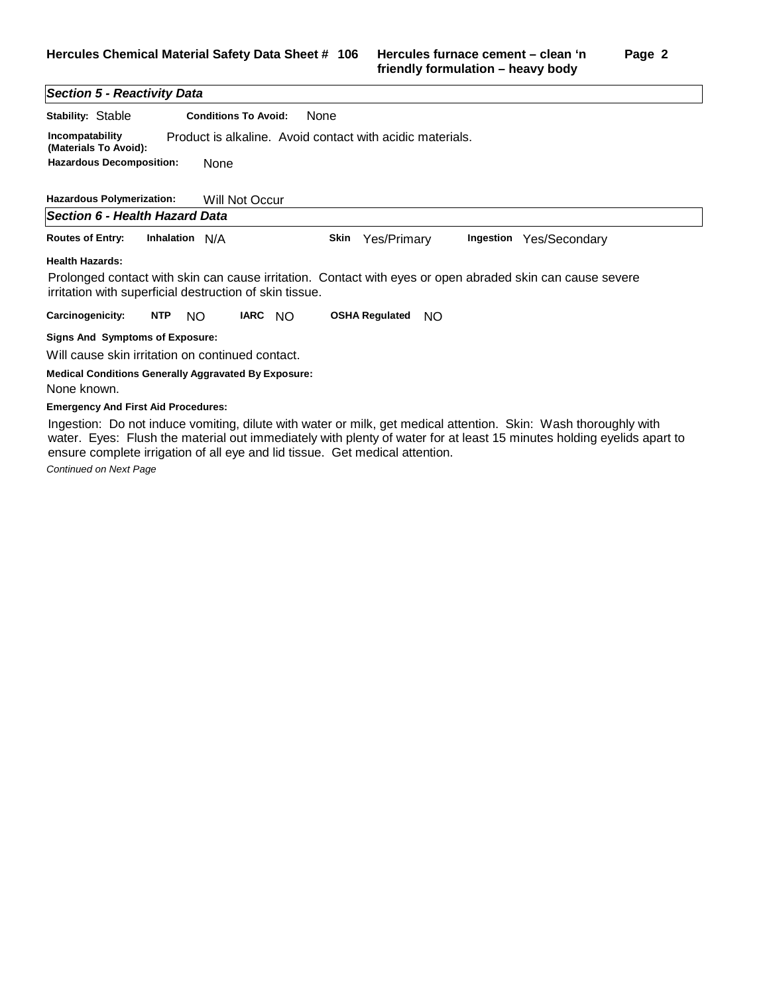## *Section 5 - Reactivity Data*

| Stability: Stable                        | <b>Conditions To Avoid:</b> | <b>None</b>                                               |  |  |  |
|------------------------------------------|-----------------------------|-----------------------------------------------------------|--|--|--|
| Incompatability<br>(Materials To Avoid): |                             | Product is alkaline. Avoid contact with acidic materials. |  |  |  |
| <b>Hazardous Decomposition:</b><br>None  |                             |                                                           |  |  |  |

| <b>Hazardous Polymerization:</b>                                                                                                                                     |                | Will Not Occur |         |      |                       |     |           |               |
|----------------------------------------------------------------------------------------------------------------------------------------------------------------------|----------------|----------------|---------|------|-----------------------|-----|-----------|---------------|
| Section 6 - Health Hazard Data                                                                                                                                       |                |                |         |      |                       |     |           |               |
| <b>Routes of Entry:</b>                                                                                                                                              | Inhalation N/A |                |         | Skin | Yes/Primary           |     | Ingestion | Yes/Secondary |
| <b>Health Hazards:</b>                                                                                                                                               |                |                |         |      |                       |     |           |               |
| Prolonged contact with skin can cause irritation. Contact with eyes or open abraded skin can cause severe<br>irritation with superficial destruction of skin tissue. |                |                |         |      |                       |     |           |               |
| Carcinogenicity:                                                                                                                                                     | <b>NTP</b>     | NO.            | IARC NO |      | <b>OSHA Requlated</b> | NO. |           |               |
| Signs And Symptoms of Exposure:                                                                                                                                      |                |                |         |      |                       |     |           |               |

Will cause skin irritation on continued contact.

**Medical Conditions Generally Aggravated By Exposure:**

None known.

**Emergency And First Aid Procedures:**

Ingestion: Do not induce vomiting, dilute with water or milk, get medical attention. Skin: Wash thoroughly with water. Eyes: Flush the material out immediately with plenty of water for at least 15 minutes holding eyelids apart to ensure complete irrigation of all eye and lid tissue. Get medical attention.

*Continued on Next Page*